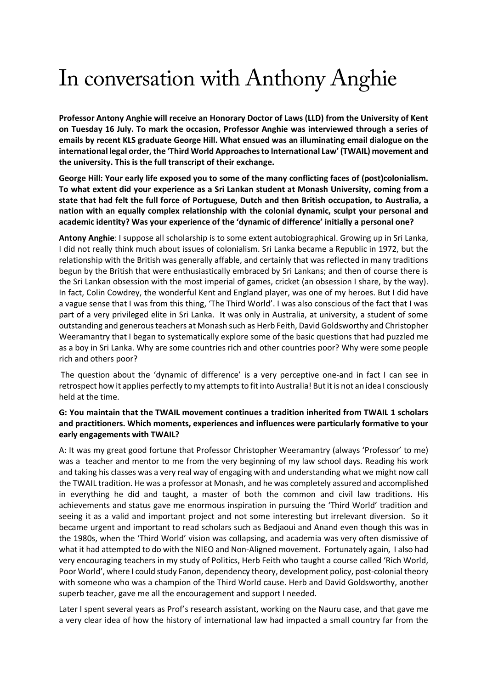# In conversation with Anthony Anghie

**Professor Antony Anghie will receive an Honorary Doctor of Laws (LLD) from the University of Kent on Tuesday 16 July. To mark the occasion, Professor Anghie was interviewed through a series of emails by recent KLS graduate George Hill. What ensued was an illuminating email dialogue on the international legal order, the 'Third World Approaches to International Law' (TWAIL) movement and the university. This is the full transcript of their exchange.**

**George Hill: Your early life exposed you to some of the many conflicting faces of (post)colonialism. To what extent did your experience as a Sri Lankan student at Monash University, coming from a state that had felt the full force of Portuguese, Dutch and then British occupation, to Australia, a nation with an equally complex relationship with the colonial dynamic, sculpt your personal and academic identity? Was your experience of the 'dynamic of difference' initially a personal one?**

**Antony Anghie**: I suppose all scholarship is to some extent autobiographical. Growing up in Sri Lanka, I did not really think much about issues of colonialism. Sri Lanka became a Republic in 1972, but the relationship with the British was generally affable, and certainly that was reflected in many traditions begun by the British that were enthusiastically embraced by Sri Lankans; and then of course there is the Sri Lankan obsession with the most imperial of games, cricket (an obsession I share, by the way). In fact, Colin Cowdrey, the wonderful Kent and England player, was one of my heroes. But I did have a vague sense that I was from this thing, 'The Third World'. I was also conscious of the fact that I was part of a very privileged elite in Sri Lanka. It was only in Australia, at university, a student of some outstanding and generous teachers at Monash such as Herb Feith, David Goldsworthy and Christopher Weeramantry that I began to systematically explore some of the basic questions that had puzzled me as a boy in Sri Lanka. Why are some countries rich and other countries poor? Why were some people rich and others poor?

The question about the 'dynamic of difference' is a very perceptive one-and in fact I can see in retrospect how it applies perfectly to my attempts to fit into Australia! But it is not an idea I consciously held at the time.

#### **G: You maintain that the TWAIL movement continues a tradition inherited from TWAIL 1 scholars and practitioners. Which moments, experiences and influences were particularly formative to your early engagements with TWAIL?**

A: It was my great good fortune that Professor Christopher Weeramantry (always 'Professor' to me) was a teacher and mentor to me from the very beginning of my law school days. Reading his work and taking his classes was a very real way of engaging with and understanding what we might now call the TWAIL tradition. He was a professor at Monash, and he was completely assured and accomplished in everything he did and taught, a master of both the common and civil law traditions. His achievements and status gave me enormous inspiration in pursuing the 'Third World' tradition and seeing it as a valid and important project and not some interesting but irrelevant diversion. So it became urgent and important to read scholars such as Bedjaoui and Anand even though this was in the 1980s, when the 'Third World' vision was collapsing, and academia was very often dismissive of what it had attempted to do with the NIEO and Non-Aligned movement. Fortunately again, I also had very encouraging teachers in my study of Politics, Herb Feith who taught a course called 'Rich World, Poor World', where I could study Fanon, dependency theory, development policy, post-colonial theory with someone who was a champion of the Third World cause. Herb and David Goldsworthy, another superb teacher, gave me all the encouragement and support I needed.

Later I spent several years as Prof's research assistant, working on the Nauru case, and that gave me a very clear idea of how the history of international law had impacted a small country far from the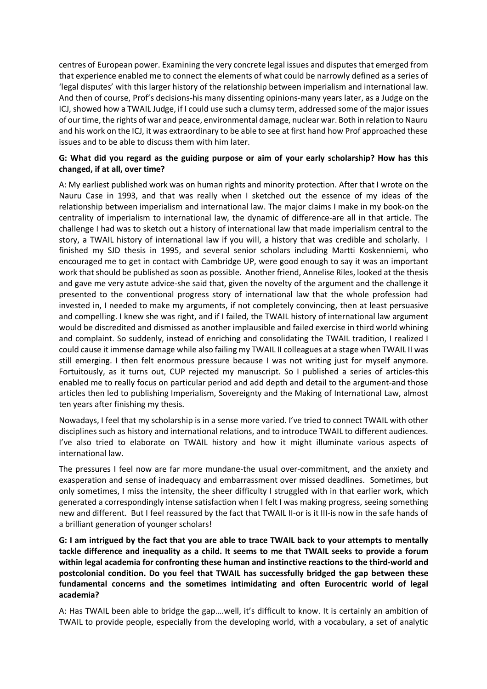centres of European power. Examining the very concrete legal issues and disputes that emerged from that experience enabled me to connect the elements of what could be narrowly defined as a series of 'legal disputes' with this larger history of the relationship between imperialism and international law. And then of course, Prof's decisions-his many dissenting opinions-many years later, as a Judge on the ICJ, showed how a TWAIL Judge, if I could use such a clumsy term, addressed some of the major issues of our time, the rights of war and peace, environmental damage, nuclear war. Both in relation to Nauru and his work on the ICJ, it was extraordinary to be able to see at first hand how Prof approached these issues and to be able to discuss them with him later.

### **G: What did you regard as the guiding purpose or aim of your early scholarship? How has this changed, if at all, over time?**

A: My earliest published work was on human rights and minority protection. After that I wrote on the Nauru Case in 1993, and that was really when I sketched out the essence of my ideas of the relationship between imperialism and international law. The major claims I make in my book-on the centrality of imperialism to international law, the dynamic of difference-are all in that article. The challenge I had was to sketch out a history of international law that made imperialism central to the story, a TWAIL history of international law if you will, a history that was credible and scholarly. I finished my SJD thesis in 1995, and several senior scholars including Martti Koskenniemi, who encouraged me to get in contact with Cambridge UP, were good enough to say it was an important work that should be published as soon as possible. Another friend, Annelise Riles, looked at the thesis and gave me very astute advice-she said that, given the novelty of the argument and the challenge it presented to the conventional progress story of international law that the whole profession had invested in, I needed to make my arguments, if not completely convincing, then at least persuasive and compelling. I knew she was right, and if I failed, the TWAIL history of international law argument would be discredited and dismissed as another implausible and failed exercise in third world whining and complaint. So suddenly, instead of enriching and consolidating the TWAIL tradition, I realized I could cause it immense damage while also failing my TWAIL II colleagues at a stage when TWAIL II was still emerging. I then felt enormous pressure because I was not writing just for myself anymore. Fortuitously, as it turns out, CUP rejected my manuscript. So I published a series of articles-this enabled me to really focus on particular period and add depth and detail to the argument-and those articles then led to publishing Imperialism, Sovereignty and the Making of International Law, almost ten years after finishing my thesis.

Nowadays, I feel that my scholarship is in a sense more varied. I've tried to connect TWAIL with other disciplines such as history and international relations, and to introduce TWAIL to different audiences. I've also tried to elaborate on TWAIL history and how it might illuminate various aspects of international law.

The pressures I feel now are far more mundane-the usual over-commitment, and the anxiety and exasperation and sense of inadequacy and embarrassment over missed deadlines. Sometimes, but only sometimes, I miss the intensity, the sheer difficulty I struggled with in that earlier work, which generated a correspondingly intense satisfaction when I felt I was making progress, seeing something new and different. But I feel reassured by the fact that TWAIL II-or is it III-is now in the safe hands of a brilliant generation of younger scholars!

**G: I am intrigued by the fact that you are able to trace TWAIL back to your attempts to mentally tackle difference and inequality as a child. It seems to me that TWAIL seeks to provide a forum within legal academia for confronting these human and instinctive reactions to the third-world and postcolonial condition. Do you feel that TWAIL has successfully bridged the gap between these fundamental concerns and the sometimes intimidating and often Eurocentric world of legal academia?**

A: Has TWAIL been able to bridge the gap….well, it's difficult to know. It is certainly an ambition of TWAIL to provide people, especially from the developing world, with a vocabulary, a set of analytic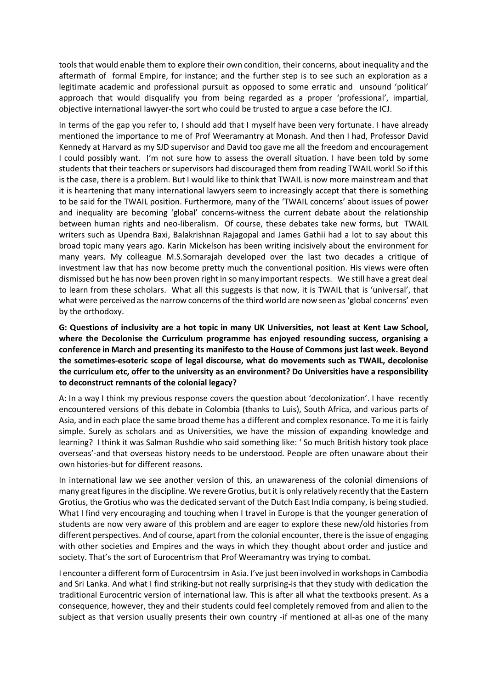tools that would enable them to explore their own condition, their concerns, about inequality and the aftermath of formal Empire, for instance; and the further step is to see such an exploration as a legitimate academic and professional pursuit as opposed to some erratic and unsound 'political' approach that would disqualify you from being regarded as a proper 'professional', impartial, objective international lawyer-the sort who could be trusted to argue a case before the ICJ.

In terms of the gap you refer to, I should add that I myself have been very fortunate. I have already mentioned the importance to me of Prof Weeramantry at Monash. And then I had, Professor David Kennedy at Harvard as my SJD supervisor and David too gave me all the freedom and encouragement I could possibly want. I'm not sure how to assess the overall situation. I have been told by some students that their teachers or supervisors had discouraged them from reading TWAIL work! So if this is the case, there is a problem. But I would like to think that TWAIL is now more mainstream and that it is heartening that many international lawyers seem to increasingly accept that there is something to be said for the TWAIL position. Furthermore, many of the 'TWAIL concerns' about issues of power and inequality are becoming 'global' concerns-witness the current debate about the relationship between human rights and neo-liberalism. Of course, these debates take new forms, but TWAIL writers such as Upendra Baxi, Balakrishnan Rajagopal and James Gathii had a lot to say about this broad topic many years ago. Karin Mickelson has been writing incisively about the environment for many years. My colleague M.S.Sornarajah developed over the last two decades a critique of investment law that has now become pretty much the conventional position. His views were often dismissed but he has now been proven right in so many important respects. We still have a great deal to learn from these scholars. What all this suggests is that now, it is TWAIL that is 'universal', that what were perceived as the narrow concerns of the third world are now seen as 'global concerns' even by the orthodoxy.

**G: Questions of inclusivity are a hot topic in many UK Universities, not least at Kent Law School, where the Decolonise the Curriculum programme has enjoyed resounding success, organising a conference in March and presenting its manifesto to the House of Commons just last week. Beyond the sometimes-esoteric scope of legal discourse, what do movements such as TWAIL, decolonise the curriculum etc, offer to the university as an environment? Do Universities have a responsibility to deconstruct remnants of the colonial legacy?**

A: In a way I think my previous response covers the question about 'decolonization'. I have recently encountered versions of this debate in Colombia (thanks to Luis), South Africa, and various parts of Asia, and in each place the same broad theme has a different and complex resonance. To me it is fairly simple. Surely as scholars and as Universities, we have the mission of expanding knowledge and learning? I think it was Salman Rushdie who said something like: ' So much British history took place overseas'-and that overseas history needs to be understood. People are often unaware about their own histories-but for different reasons.

In international law we see another version of this, an unawareness of the colonial dimensions of many great figures in the discipline. We revere Grotius, but it is only relatively recently that the Eastern Grotius, the Grotius who was the dedicated servant of the Dutch East India company, is being studied. What I find very encouraging and touching when I travel in Europe is that the younger generation of students are now very aware of this problem and are eager to explore these new/old histories from different perspectives. And of course, apart from the colonial encounter, there is the issue of engaging with other societies and Empires and the ways in which they thought about order and justice and society. That's the sort of Eurocentrism that Prof Weeramantry was trying to combat.

I encounter a different form of Eurocentrsim in Asia. I've just been involved in workshops in Cambodia and Sri Lanka. And what I find striking-but not really surprising-is that they study with dedication the traditional Eurocentric version of international law. This is after all what the textbooks present. As a consequence, however, they and their students could feel completely removed from and alien to the subject as that version usually presents their own country -if mentioned at all-as one of the many